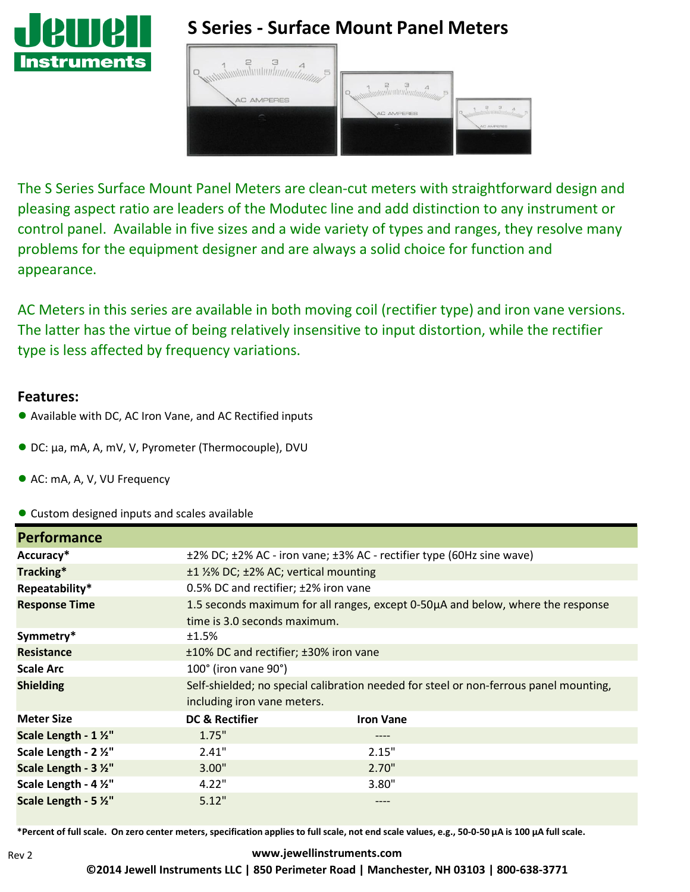

# **S Series - Surface Mount Panel Meters**

| 5<br><b>AC AMPERES</b> | Communication of the Manufacturer<br>AC AMPERES<br>$\equiv$ | AC AMPERES |
|------------------------|-------------------------------------------------------------|------------|
|                        |                                                             |            |

The S Series Surface Mount Panel Meters are clean-cut meters with straightforward design and pleasing aspect ratio are leaders of the Modutec line and add distinction to any instrument or control panel. Available in five sizes and a wide variety of types and ranges, they resolve many problems for the equipment designer and are always a solid choice for function and appearance.

AC Meters in this series are available in both moving coil (rectifier type) and iron vane versions. The latter has the virtue of being relatively insensitive to input distortion, while the rectifier type is less affected by frequency variations.

#### **Features:**

- Available with DC, AC Iron Vane, and AC Rectified inputs
- DC: µa, mA, A, mV, V, Pyrometer (Thermocouple), DVU
- AC: mA, A, V, VU Frequency
- Custom designed inputs and scales available

| <b>Performance</b>    |                                                                                       |                  |  |  |  |
|-----------------------|---------------------------------------------------------------------------------------|------------------|--|--|--|
| Accuracy*             | ±2% DC; ±2% AC - iron vane; ±3% AC - rectifier type (60Hz sine wave)                  |                  |  |  |  |
| Tracking*             | ±1 1/2% DC; ±2% AC; vertical mounting                                                 |                  |  |  |  |
| Repeatability*        | 0.5% DC and rectifier; $\pm$ 2% iron vane                                             |                  |  |  |  |
| <b>Response Time</b>  | 1.5 seconds maximum for all ranges, except 0-50µA and below, where the response       |                  |  |  |  |
|                       | time is 3.0 seconds maximum.                                                          |                  |  |  |  |
| Symmetry*             | ±1.5%                                                                                 |                  |  |  |  |
| <b>Resistance</b>     | ±10% DC and rectifier; ±30% iron vane                                                 |                  |  |  |  |
| <b>Scale Arc</b>      | 100° (iron vane 90°)                                                                  |                  |  |  |  |
| <b>Shielding</b>      | Self-shielded; no special calibration needed for steel or non-ferrous panel mounting, |                  |  |  |  |
|                       | including iron vane meters.                                                           |                  |  |  |  |
| <b>Meter Size</b>     | DC & Rectifier                                                                        | <b>Iron Vane</b> |  |  |  |
| Scale Length - 1 1/2" | 1.75"                                                                                 | $--- -$          |  |  |  |
| Scale Length - 2 1/2" | 2.41"                                                                                 | 2.15"            |  |  |  |
| Scale Length - 3 1/2" | 3.00"                                                                                 | 2.70"            |  |  |  |
| Scale Length - 4 1/2" | 4.22"                                                                                 | 3.80"            |  |  |  |
| Scale Length - 5 1/2" | 5.12"                                                                                 | ----             |  |  |  |

\*Percent of full scale. On zero center meters, specification applies to full scale, not end scale values, e.g., 50-0-50 µA is 100 µA full scale.

#### **[www.jewellinstruments.com](http://www.jewellinstruments.com/) ©2014 Jewell Instruments LLC | 850 Perimeter Road | Manchester, NH 03103 | 800-638-3771**